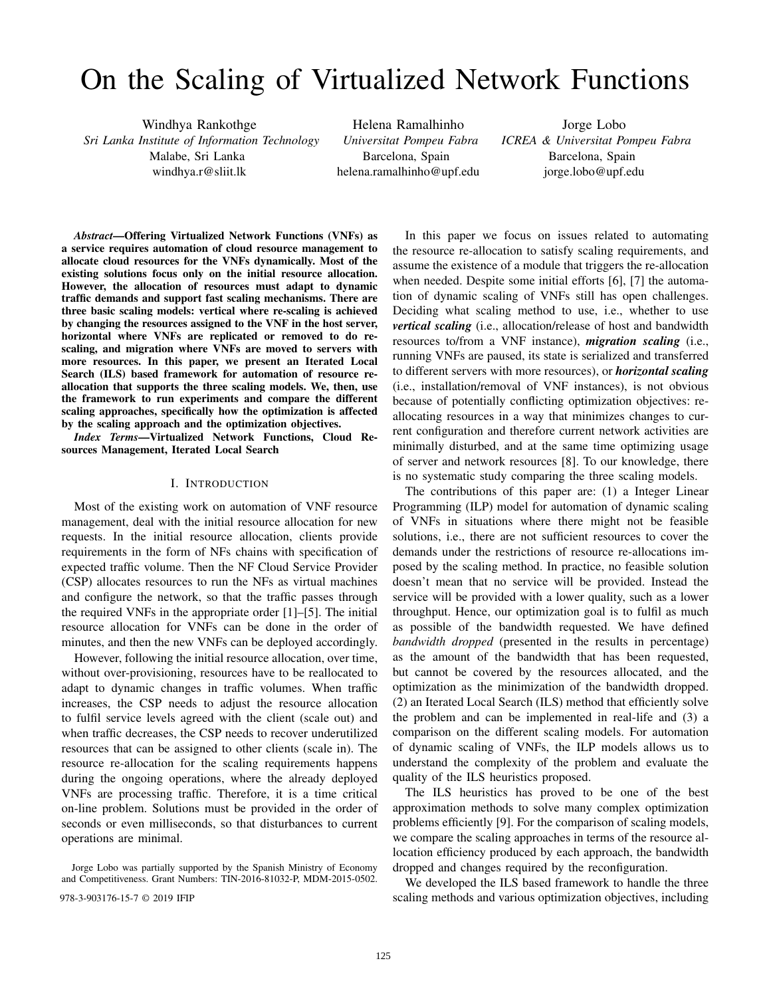# On the Scaling of Virtualized Network Functions

Windhya Rankothge *Sri Lanka Institute of Information Technology* Malabe, Sri Lanka windhya.r@sliit.lk

Helena Ramalhinho *Universitat Pompeu Fabra* Barcelona, Spain helena.ramalhinho@upf.edu

Jorge Lobo *ICREA & Universitat Pompeu Fabra* Barcelona, Spain jorge.lobo@upf.edu

*Abstract*—Offering Virtualized Network Functions (VNFs) as a service requires automation of cloud resource management to allocate cloud resources for the VNFs dynamically. Most of the existing solutions focus only on the initial resource allocation. However, the allocation of resources must adapt to dynamic traffic demands and support fast scaling mechanisms. There are three basic scaling models: vertical where re-scaling is achieved by changing the resources assigned to the VNF in the host server, horizontal where VNFs are replicated or removed to do rescaling, and migration where VNFs are moved to servers with more resources. In this paper, we present an Iterated Local Search (ILS) based framework for automation of resource reallocation that supports the three scaling models. We, then, use the framework to run experiments and compare the different scaling approaches, specifically how the optimization is affected by the scaling approach and the optimization objectives.

*Index Terms*—Virtualized Network Functions, Cloud Resources Management, Iterated Local Search

#### I. INTRODUCTION

Most of the existing work on automation of VNF resource management, deal with the initial resource allocation for new requests. In the initial resource allocation, clients provide requirements in the form of NFs chains with specification of expected traffic volume. Then the NF Cloud Service Provider (CSP) allocates resources to run the NFs as virtual machines and configure the network, so that the traffic passes through the required VNFs in the appropriate order [1]–[5]. The initial resource allocation for VNFs can be done in the order of minutes, and then the new VNFs can be deployed accordingly.

However, following the initial resource allocation, over time, without over-provisioning, resources have to be reallocated to adapt to dynamic changes in traffic volumes. When traffic increases, the CSP needs to adjust the resource allocation to fulfil service levels agreed with the client (scale out) and when traffic decreases, the CSP needs to recover underutilized resources that can be assigned to other clients (scale in). The resource re-allocation for the scaling requirements happens during the ongoing operations, where the already deployed VNFs are processing traffic. Therefore, it is a time critical on-line problem. Solutions must be provided in the order of seconds or even milliseconds, so that disturbances to current operations are minimal.

Jorge Lobo was partially supported by the Spanish Ministry of Economy and Competitiveness. Grant Numbers: TIN-2016-81032-P, MDM-2015-0502.

In this paper we focus on issues related to automating the resource re-allocation to satisfy scaling requirements, and assume the existence of a module that triggers the re-allocation when needed. Despite some initial efforts [6], [7] the automation of dynamic scaling of VNFs still has open challenges. Deciding what scaling method to use, i.e., whether to use *vertical scaling* (i.e., allocation/release of host and bandwidth resources to/from a VNF instance), *migration scaling* (i.e., running VNFs are paused, its state is serialized and transferred to different servers with more resources), or *horizontal scaling* (i.e., installation/removal of VNF instances), is not obvious because of potentially conflicting optimization objectives: reallocating resources in a way that minimizes changes to current configuration and therefore current network activities are minimally disturbed, and at the same time optimizing usage of server and network resources [8]. To our knowledge, there is no systematic study comparing the three scaling models.

The contributions of this paper are: (1) a Integer Linear Programming (ILP) model for automation of dynamic scaling of VNFs in situations where there might not be feasible solutions, i.e., there are not sufficient resources to cover the demands under the restrictions of resource re-allocations imposed by the scaling method. In practice, no feasible solution doesn't mean that no service will be provided. Instead the service will be provided with a lower quality, such as a lower throughput. Hence, our optimization goal is to fulfil as much as possible of the bandwidth requested. We have defined *bandwidth dropped* (presented in the results in percentage) as the amount of the bandwidth that has been requested, but cannot be covered by the resources allocated, and the optimization as the minimization of the bandwidth dropped. (2) an Iterated Local Search (ILS) method that efficiently solve the problem and can be implemented in real-life and (3) a comparison on the different scaling models. For automation of dynamic scaling of VNFs, the ILP models allows us to understand the complexity of the problem and evaluate the quality of the ILS heuristics proposed.

The ILS heuristics has proved to be one of the best approximation methods to solve many complex optimization problems efficiently [9]. For the comparison of scaling models, we compare the scaling approaches in terms of the resource allocation efficiency produced by each approach, the bandwidth dropped and changes required by the reconfiguration.

We developed the ILS based framework to handle the three 978-3-903176-15-7 © 2019 IFIP scaling methods and various optimization objectives, including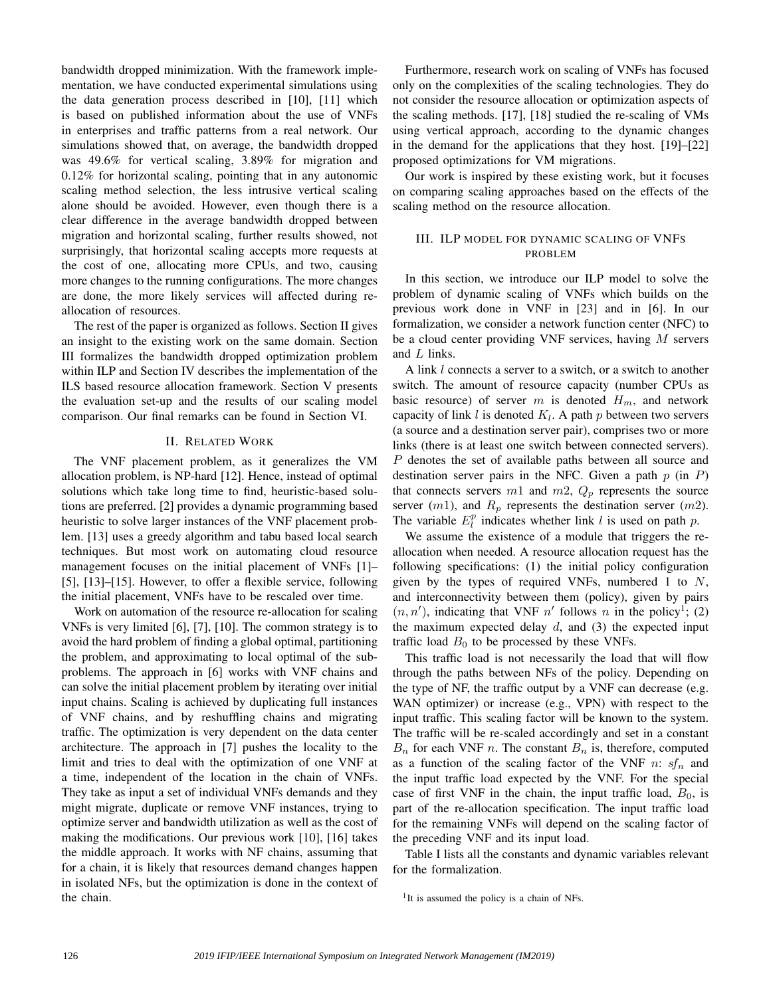bandwidth dropped minimization. With the framework implementation, we have conducted experimental simulations using the data generation process described in [10], [11] which is based on published information about the use of VNFs in enterprises and traffic patterns from a real network. Our simulations showed that, on average, the bandwidth dropped was 49.6% for vertical scaling, 3.89% for migration and 0.12% for horizontal scaling, pointing that in any autonomic scaling method selection, the less intrusive vertical scaling alone should be avoided. However, even though there is a clear difference in the average bandwidth dropped between migration and horizontal scaling, further results showed, not surprisingly, that horizontal scaling accepts more requests at the cost of one, allocating more CPUs, and two, causing more changes to the running configurations. The more changes are done, the more likely services will affected during reallocation of resources.

The rest of the paper is organized as follows. Section II gives an insight to the existing work on the same domain. Section III formalizes the bandwidth dropped optimization problem within ILP and Section IV describes the implementation of the ILS based resource allocation framework. Section V presents the evaluation set-up and the results of our scaling model comparison. Our final remarks can be found in Section VI.

### II. RELATED WORK

The VNF placement problem, as it generalizes the VM allocation problem, is NP-hard [12]. Hence, instead of optimal solutions which take long time to find, heuristic-based solutions are preferred. [2] provides a dynamic programming based heuristic to solve larger instances of the VNF placement problem. [13] uses a greedy algorithm and tabu based local search techniques. But most work on automating cloud resource management focuses on the initial placement of VNFs [1]– [5], [13]–[15]. However, to offer a flexible service, following the initial placement, VNFs have to be rescaled over time.

Work on automation of the resource re-allocation for scaling VNFs is very limited [6], [7], [10]. The common strategy is to avoid the hard problem of finding a global optimal, partitioning the problem, and approximating to local optimal of the subproblems. The approach in [6] works with VNF chains and can solve the initial placement problem by iterating over initial input chains. Scaling is achieved by duplicating full instances of VNF chains, and by reshuffling chains and migrating traffic. The optimization is very dependent on the data center architecture. The approach in [7] pushes the locality to the limit and tries to deal with the optimization of one VNF at a time, independent of the location in the chain of VNFs. They take as input a set of individual VNFs demands and they might migrate, duplicate or remove VNF instances, trying to optimize server and bandwidth utilization as well as the cost of making the modifications. Our previous work [10], [16] takes the middle approach. It works with NF chains, assuming that for a chain, it is likely that resources demand changes happen in isolated NFs, but the optimization is done in the context of the chain.

Furthermore, research work on scaling of VNFs has focused only on the complexities of the scaling technologies. They do not consider the resource allocation or optimization aspects of the scaling methods. [17], [18] studied the re-scaling of VMs using vertical approach, according to the dynamic changes in the demand for the applications that they host. [19]–[22] proposed optimizations for VM migrations.

Our work is inspired by these existing work, but it focuses on comparing scaling approaches based on the effects of the scaling method on the resource allocation.

# III. ILP MODEL FOR DYNAMIC SCALING OF VNFS PROBLEM

In this section, we introduce our ILP model to solve the problem of dynamic scaling of VNFs which builds on the previous work done in VNF in [23] and in [6]. In our formalization, we consider a network function center (NFC) to be a cloud center providing VNF services, having  $M$  servers and L links.

A link l connects a server to a switch, or a switch to another switch. The amount of resource capacity (number CPUs as basic resource) of server m is denoted  $H_m$ , and network capacity of link  $l$  is denoted  $K_l$ . A path  $p$  between two servers (a source and a destination server pair), comprises two or more links (there is at least one switch between connected servers). P denotes the set of available paths between all source and destination server pairs in the NFC. Given a path  $p$  (in  $P$ ) that connects servers  $m1$  and  $m2$ ,  $Q_p$  represents the source server  $(m1)$ , and  $R_p$  represents the destination server  $(m2)$ . The variable  $E_l^p$  indicates whether link l is used on path p.

We assume the existence of a module that triggers the reallocation when needed. A resource allocation request has the following specifications: (1) the initial policy configuration given by the types of required VNFs, numbered 1 to  $N$ , and interconnectivity between them (policy), given by pairs  $(n, n')$ , indicating that VNF n' follows n in the policy<sup>1</sup>; (2) the maximum expected delay  $d$ , and (3) the expected input traffic load  $B_0$  to be processed by these VNFs.

This traffic load is not necessarily the load that will flow through the paths between NFs of the policy. Depending on the type of NF, the traffic output by a VNF can decrease (e.g. WAN optimizer) or increase (e.g., VPN) with respect to the input traffic. This scaling factor will be known to the system. The traffic will be re-scaled accordingly and set in a constant  $B_n$  for each VNF n. The constant  $B_n$  is, therefore, computed as a function of the scaling factor of the VNF n:  $sf_n$  and the input traffic load expected by the VNF. For the special case of first VNF in the chain, the input traffic load,  $B_0$ , is part of the re-allocation specification. The input traffic load for the remaining VNFs will depend on the scaling factor of the preceding VNF and its input load.

Table I lists all the constants and dynamic variables relevant for the formalization.

<sup>1</sup>It is assumed the policy is a chain of NFs.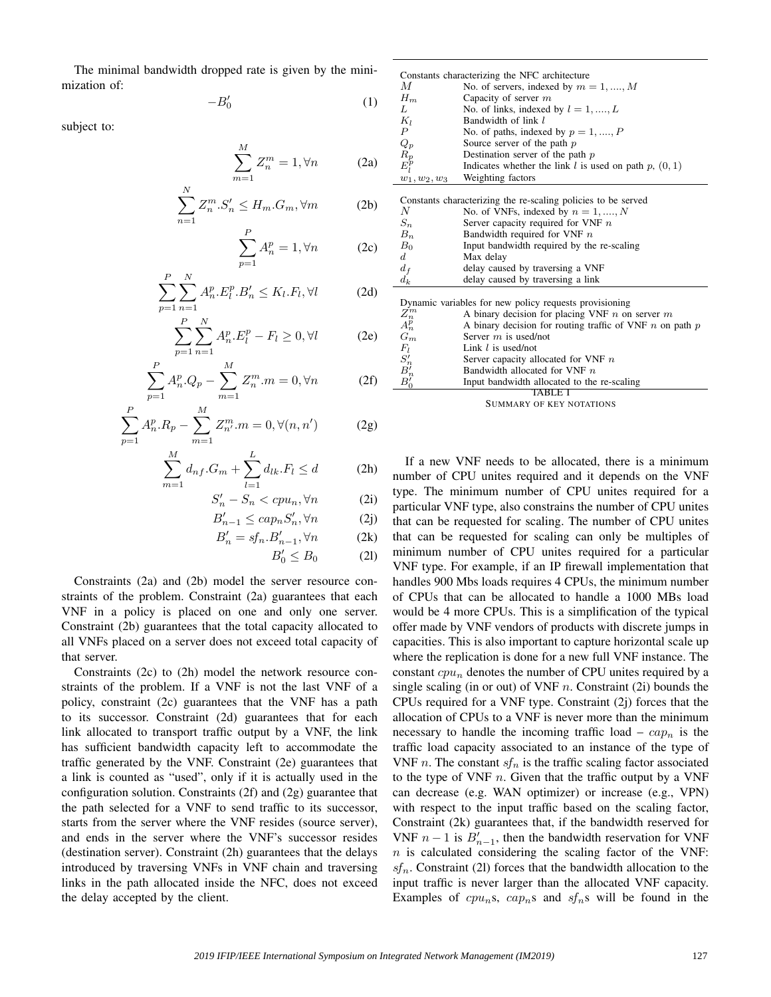The minimal bandwidth dropped rate is given by the minimization of:

N

$$
-B_0' \tag{1}
$$

subject to:

$$
\sum_{m=1}^{M} Z_n^m = 1, \forall n \tag{2a}
$$

$$
\sum_{n=1} Z_n^m \cdot S_n' \le H_m \cdot G_m, \forall m \tag{2b}
$$

$$
\sum_{p=1}^{P} A_n^p = 1, \forall n \tag{2c}
$$

$$
\sum_{p=1}^{P} \sum_{n=1}^{N} A_n^p \cdot E_l^p \cdot B_n' \le K_l \cdot F_l, \forall l \tag{2d}
$$

$$
\sum_{p=1}^{P} \sum_{n=1}^{N} A_n^p \cdot E_l^p - F_l \ge 0, \forall l \tag{2e}
$$

$$
\sum_{p=1}^{P} A_n^p Q_p - \sum_{m=1}^{M} Z_n^m m = 0, \forall n \tag{2f}
$$

$$
\sum_{p=1}^{P} A_n^p \cdot R_p - \sum_{m=1}^{M} Z_{n'}^m \cdot m = 0, \forall (n, n') \tag{2g}
$$

$$
\sum_{m=1}^{M} d_{nf}.G_m + \sum_{l=1}^{L} d_{lk}.F_l \le d
$$
 (2h)

$$
S'_n - S_n < cpu_n, \forall n \tag{2i}
$$

$$
B'_{n-1} \leq cap_n S'_n, \forall n \tag{2j}
$$

$$
B'_n = sf_n.B'_{n-1}, \forall n \tag{2k}
$$

$$
B'_0 \le B_0 \tag{2l}
$$

Constraints (2a) and (2b) model the server resource constraints of the problem. Constraint (2a) guarantees that each VNF in a policy is placed on one and only one server. Constraint (2b) guarantees that the total capacity allocated to all VNFs placed on a server does not exceed total capacity of that server.

Constraints (2c) to (2h) model the network resource constraints of the problem. If a VNF is not the last VNF of a policy, constraint (2c) guarantees that the VNF has a path to its successor. Constraint (2d) guarantees that for each link allocated to transport traffic output by a VNF, the link has sufficient bandwidth capacity left to accommodate the traffic generated by the VNF. Constraint (2e) guarantees that a link is counted as "used", only if it is actually used in the configuration solution. Constraints (2f) and (2g) guarantee that the path selected for a VNF to send traffic to its successor, starts from the server where the VNF resides (source server), and ends in the server where the VNF's successor resides (destination server). Constraint (2h) guarantees that the delays introduced by traversing VNFs in VNF chain and traversing links in the path allocated inside the NFC, does not exceed the delay accepted by the client.

| Constants characterizing the NFC architecture          |                                                               |  |  |  |
|--------------------------------------------------------|---------------------------------------------------------------|--|--|--|
| M                                                      | No. of servers, indexed by $m = 1, , M$                       |  |  |  |
| $H_m$                                                  | Capacity of server $m$                                        |  |  |  |
| L                                                      | No. of links, indexed by $l = 1, , L$                         |  |  |  |
| $K_l$                                                  | Bandwidth of link l                                           |  |  |  |
| Ρ                                                      | No. of paths, indexed by $p = 1, , P$                         |  |  |  |
| $Q_p$                                                  | Source server of the path $p$                                 |  |  |  |
|                                                        | Destination server of the path $p$                            |  |  |  |
| $\bar{R_p^p}$                                          | Indicates whether the link l is used on path $p$ , $(0, 1)$   |  |  |  |
| $w_1, w_2, w_3$                                        | Weighting factors                                             |  |  |  |
|                                                        |                                                               |  |  |  |
|                                                        | Constants characterizing the re-scaling policies to be served |  |  |  |
| N                                                      | No. of VNFs, indexed by $n = 1, , N$                          |  |  |  |
| $S_n$                                                  | Server capacity required for VNF $n$                          |  |  |  |
| $B_n$                                                  | Bandwidth required for VNF $n$                                |  |  |  |
| $B_0$                                                  | Input bandwidth required by the re-scaling                    |  |  |  |
| $d_{\cdot}$                                            | Max delay                                                     |  |  |  |
| $d_f$                                                  | delay caused by traversing a VNF                              |  |  |  |
| $d_k$                                                  | delay caused by traversing a link                             |  |  |  |
| Dynamic variables for new policy requests provisioning |                                                               |  |  |  |
| $\bar{Z}_n^m$                                          | A binary decision for placing VNF $n$ on server $m$           |  |  |  |
| $A^{\widetilde{p}}_n$                                  | A binary decision for routing traffic of VNF $n$ on path $p$  |  |  |  |
| $G_m$                                                  | Server $m$ is used/not                                        |  |  |  |
| $F_l$                                                  | Link $l$ is used/not                                          |  |  |  |
| $S_n'$                                                 | Server capacity allocated for VNF $n$                         |  |  |  |
| $B_n'$                                                 | Bandwidth allocated for VNF $n$                               |  |  |  |
| $B_0'$                                                 | Input bandwidth allocated to the re-scaling                   |  |  |  |
| <b>TABLE I</b>                                         |                                                               |  |  |  |
| <b>SUMMARY OF KEY NOTATIONS</b>                        |                                                               |  |  |  |

If a new VNF needs to be allocated, there is a minimum number of CPU unites required and it depends on the VNF type. The minimum number of CPU unites required for a particular VNF type, also constrains the number of CPU unites that can be requested for scaling. The number of CPU unites that can be requested for scaling can only be multiples of minimum number of CPU unites required for a particular VNF type. For example, if an IP firewall implementation that handles 900 Mbs loads requires 4 CPUs, the minimum number of CPUs that can be allocated to handle a 1000 MBs load would be 4 more CPUs. This is a simplification of the typical offer made by VNF vendors of products with discrete jumps in capacities. This is also important to capture horizontal scale up where the replication is done for a new full VNF instance. The constant  $cpu_n$  denotes the number of CPU unites required by a single scaling (in or out) of VNF n. Constraint (2i) bounds the CPUs required for a VNF type. Constraint (2j) forces that the allocation of CPUs to a VNF is never more than the minimum necessary to handle the incoming traffic load –  $cap_n$  is the traffic load capacity associated to an instance of the type of VNF *n*. The constant  $sf_n$  is the traffic scaling factor associated to the type of VNF  $n$ . Given that the traffic output by a VNF can decrease (e.g. WAN optimizer) or increase (e.g., VPN) with respect to the input traffic based on the scaling factor, Constraint (2k) guarantees that, if the bandwidth reserved for VNF  $n-1$  is  $B'_{n-1}$ , then the bandwidth reservation for VNF  $n$  is calculated considering the scaling factor of the VNF:  $sf_n$ . Constraint (2l) forces that the bandwidth allocation to the input traffic is never larger than the allocated VNF capacity. Examples of  $cpu_n$ s,  $cap_n$ s and  $sf_n$ s will be found in the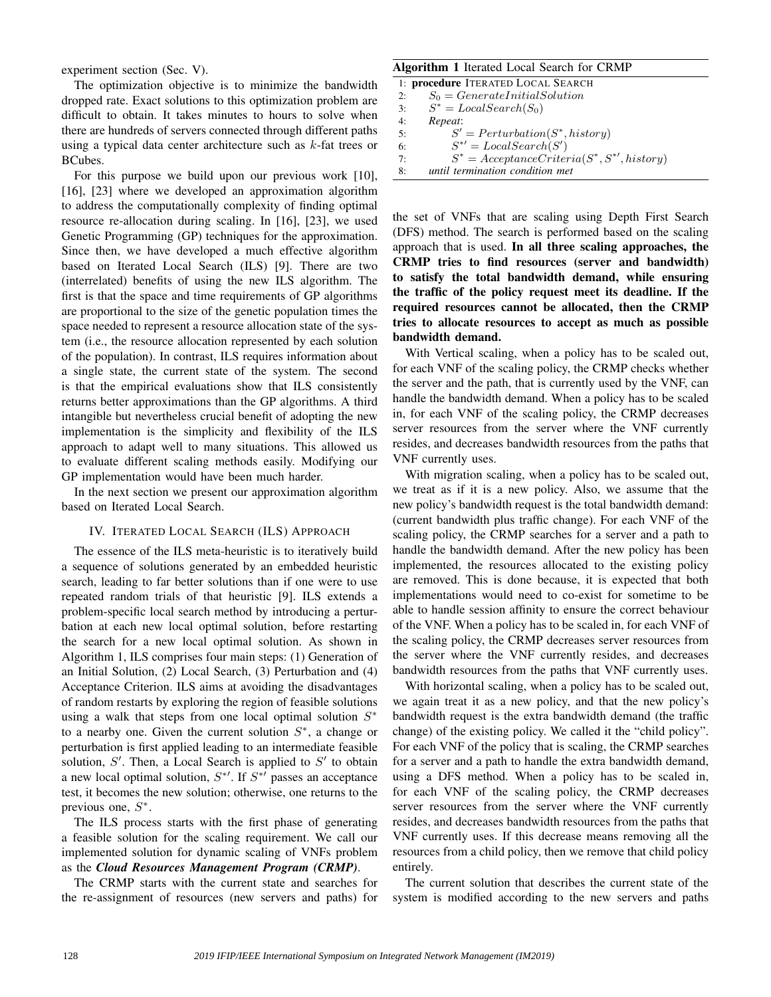experiment section (Sec. V).

The optimization objective is to minimize the bandwidth dropped rate. Exact solutions to this optimization problem are difficult to obtain. It takes minutes to hours to solve when there are hundreds of servers connected through different paths using a typical data center architecture such as k-fat trees or BCubes.

For this purpose we build upon our previous work [10], [16], [23] where we developed an approximation algorithm to address the computationally complexity of finding optimal resource re-allocation during scaling. In [16], [23], we used Genetic Programming (GP) techniques for the approximation. Since then, we have developed a much effective algorithm based on Iterated Local Search (ILS) [9]. There are two (interrelated) benefits of using the new ILS algorithm. The first is that the space and time requirements of GP algorithms are proportional to the size of the genetic population times the space needed to represent a resource allocation state of the system (i.e., the resource allocation represented by each solution of the population). In contrast, ILS requires information about a single state, the current state of the system. The second is that the empirical evaluations show that ILS consistently returns better approximations than the GP algorithms. A third intangible but nevertheless crucial benefit of adopting the new implementation is the simplicity and flexibility of the ILS approach to adapt well to many situations. This allowed us to evaluate different scaling methods easily. Modifying our GP implementation would have been much harder.

In the next section we present our approximation algorithm based on Iterated Local Search.

## IV. ITERATED LOCAL SEARCH (ILS) APPROACH

The essence of the ILS meta-heuristic is to iteratively build a sequence of solutions generated by an embedded heuristic search, leading to far better solutions than if one were to use repeated random trials of that heuristic [9]. ILS extends a problem-specific local search method by introducing a perturbation at each new local optimal solution, before restarting the search for a new local optimal solution. As shown in Algorithm 1, ILS comprises four main steps: (1) Generation of an Initial Solution, (2) Local Search, (3) Perturbation and (4) Acceptance Criterion. ILS aims at avoiding the disadvantages of random restarts by exploring the region of feasible solutions using a walk that steps from one local optimal solution  $S^*$ to a nearby one. Given the current solution  $S^*$ , a change or perturbation is first applied leading to an intermediate feasible solution,  $S'$ . Then, a Local Search is applied to  $S'$  to obtain a new local optimal solution,  $S^*$ <sup>'</sup>. If  $S^*$ <sup>'</sup> passes an acceptance test, it becomes the new solution; otherwise, one returns to the previous one,  $S^*$ .

The ILS process starts with the first phase of generating a feasible solution for the scaling requirement. We call our implemented solution for dynamic scaling of VNFs problem as the *Cloud Resources Management Program (CRMP)*.

The CRMP starts with the current state and searches for the re-assignment of resources (new servers and paths) for

## Algorithm 1 Iterated Local Search for CRMP

| 1: procedure ITERATED LOCAL SEARCH |                                                    |  |  |
|------------------------------------|----------------------------------------------------|--|--|
| 2:                                 | $S_0 = GenerateInitialSolution$                    |  |  |
| 3:                                 | $S^* = LocalSearch(S_0)$                           |  |  |
| 4:                                 | Repeat:                                            |  |  |
| 5:                                 | $S' = Perturbation(S^*, history)$                  |  |  |
| 6:                                 | $S^{*'} = LocalSearch(S')$                         |  |  |
| 7:                                 | $S^* = Acceptance Criteria(S^*, S^{*'}), history)$ |  |  |
| 8:                                 | until termination condition met                    |  |  |
|                                    |                                                    |  |  |

the set of VNFs that are scaling using Depth First Search (DFS) method. The search is performed based on the scaling approach that is used. In all three scaling approaches, the CRMP tries to find resources (server and bandwidth) to satisfy the total bandwidth demand, while ensuring the traffic of the policy request meet its deadline. If the required resources cannot be allocated, then the CRMP tries to allocate resources to accept as much as possible bandwidth demand.

With Vertical scaling, when a policy has to be scaled out, for each VNF of the scaling policy, the CRMP checks whether the server and the path, that is currently used by the VNF, can handle the bandwidth demand. When a policy has to be scaled in, for each VNF of the scaling policy, the CRMP decreases server resources from the server where the VNF currently resides, and decreases bandwidth resources from the paths that VNF currently uses.

With migration scaling, when a policy has to be scaled out, we treat as if it is a new policy. Also, we assume that the new policy's bandwidth request is the total bandwidth demand: (current bandwidth plus traffic change). For each VNF of the scaling policy, the CRMP searches for a server and a path to handle the bandwidth demand. After the new policy has been implemented, the resources allocated to the existing policy are removed. This is done because, it is expected that both implementations would need to co-exist for sometime to be able to handle session affinity to ensure the correct behaviour of the VNF. When a policy has to be scaled in, for each VNF of the scaling policy, the CRMP decreases server resources from the server where the VNF currently resides, and decreases bandwidth resources from the paths that VNF currently uses.

With horizontal scaling, when a policy has to be scaled out, we again treat it as a new policy, and that the new policy's bandwidth request is the extra bandwidth demand (the traffic change) of the existing policy. We called it the "child policy". For each VNF of the policy that is scaling, the CRMP searches for a server and a path to handle the extra bandwidth demand, using a DFS method. When a policy has to be scaled in, for each VNF of the scaling policy, the CRMP decreases server resources from the server where the VNF currently resides, and decreases bandwidth resources from the paths that VNF currently uses. If this decrease means removing all the resources from a child policy, then we remove that child policy entirely.

The current solution that describes the current state of the system is modified according to the new servers and paths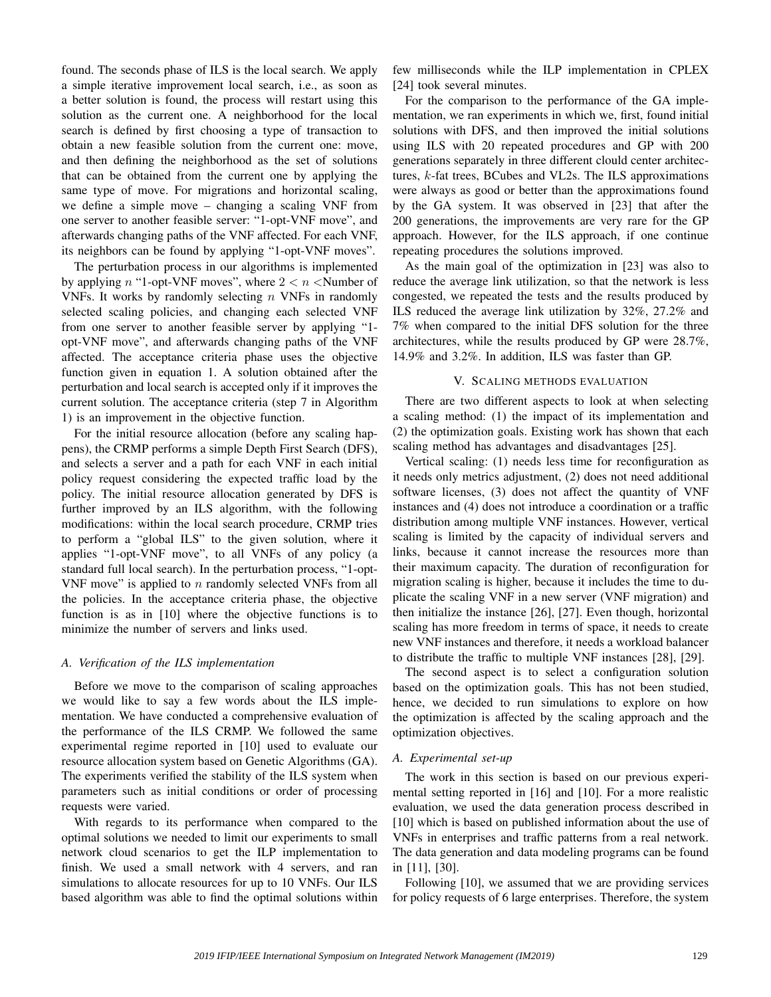found. The seconds phase of ILS is the local search. We apply a simple iterative improvement local search, i.e., as soon as a better solution is found, the process will restart using this solution as the current one. A neighborhood for the local search is defined by first choosing a type of transaction to obtain a new feasible solution from the current one: move, and then defining the neighborhood as the set of solutions that can be obtained from the current one by applying the same type of move. For migrations and horizontal scaling, we define a simple move – changing a scaling VNF from one server to another feasible server: "1-opt-VNF move", and afterwards changing paths of the VNF affected. For each VNF, its neighbors can be found by applying "1-opt-VNF moves".

The perturbation process in our algorithms is implemented by applying n "1-opt-VNF moves", where  $2 < n <$ Number of VNFs. It works by randomly selecting  $n$  VNFs in randomly selected scaling policies, and changing each selected VNF from one server to another feasible server by applying "1 opt-VNF move", and afterwards changing paths of the VNF affected. The acceptance criteria phase uses the objective function given in equation 1. A solution obtained after the perturbation and local search is accepted only if it improves the current solution. The acceptance criteria (step 7 in Algorithm 1) is an improvement in the objective function.

For the initial resource allocation (before any scaling happens), the CRMP performs a simple Depth First Search (DFS), and selects a server and a path for each VNF in each initial policy request considering the expected traffic load by the policy. The initial resource allocation generated by DFS is further improved by an ILS algorithm, with the following modifications: within the local search procedure, CRMP tries to perform a "global ILS" to the given solution, where it applies "1-opt-VNF move", to all VNFs of any policy (a standard full local search). In the perturbation process, "1-opt-VNF move" is applied to  $n$  randomly selected VNFs from all the policies. In the acceptance criteria phase, the objective function is as in [10] where the objective functions is to minimize the number of servers and links used.

#### *A. Verification of the ILS implementation*

Before we move to the comparison of scaling approaches we would like to say a few words about the ILS implementation. We have conducted a comprehensive evaluation of the performance of the ILS CRMP. We followed the same experimental regime reported in [10] used to evaluate our resource allocation system based on Genetic Algorithms (GA). The experiments verified the stability of the ILS system when parameters such as initial conditions or order of processing requests were varied.

With regards to its performance when compared to the optimal solutions we needed to limit our experiments to small network cloud scenarios to get the ILP implementation to finish. We used a small network with 4 servers, and ran simulations to allocate resources for up to 10 VNFs. Our ILS based algorithm was able to find the optimal solutions within

few milliseconds while the ILP implementation in CPLEX [24] took several minutes.

For the comparison to the performance of the GA implementation, we ran experiments in which we, first, found initial solutions with DFS, and then improved the initial solutions using ILS with 20 repeated procedures and GP with 200 generations separately in three different clould center architectures, k-fat trees, BCubes and VL2s. The ILS approximations were always as good or better than the approximations found by the GA system. It was observed in [23] that after the 200 generations, the improvements are very rare for the GP approach. However, for the ILS approach, if one continue repeating procedures the solutions improved.

As the main goal of the optimization in [23] was also to reduce the average link utilization, so that the network is less congested, we repeated the tests and the results produced by ILS reduced the average link utilization by 32%, 27.2% and 7% when compared to the initial DFS solution for the three architectures, while the results produced by GP were 28.7%, 14.9% and 3.2%. In addition, ILS was faster than GP.

## V. SCALING METHODS EVALUATION

There are two different aspects to look at when selecting a scaling method: (1) the impact of its implementation and (2) the optimization goals. Existing work has shown that each scaling method has advantages and disadvantages [25].

Vertical scaling: (1) needs less time for reconfiguration as it needs only metrics adjustment, (2) does not need additional software licenses, (3) does not affect the quantity of VNF instances and (4) does not introduce a coordination or a traffic distribution among multiple VNF instances. However, vertical scaling is limited by the capacity of individual servers and links, because it cannot increase the resources more than their maximum capacity. The duration of reconfiguration for migration scaling is higher, because it includes the time to duplicate the scaling VNF in a new server (VNF migration) and then initialize the instance [26], [27]. Even though, horizontal scaling has more freedom in terms of space, it needs to create new VNF instances and therefore, it needs a workload balancer to distribute the traffic to multiple VNF instances [28], [29].

The second aspect is to select a configuration solution based on the optimization goals. This has not been studied, hence, we decided to run simulations to explore on how the optimization is affected by the scaling approach and the optimization objectives.

## *A. Experimental set-up*

The work in this section is based on our previous experimental setting reported in [16] and [10]. For a more realistic evaluation, we used the data generation process described in [10] which is based on published information about the use of VNFs in enterprises and traffic patterns from a real network. The data generation and data modeling programs can be found in [11], [30].

Following [10], we assumed that we are providing services for policy requests of 6 large enterprises. Therefore, the system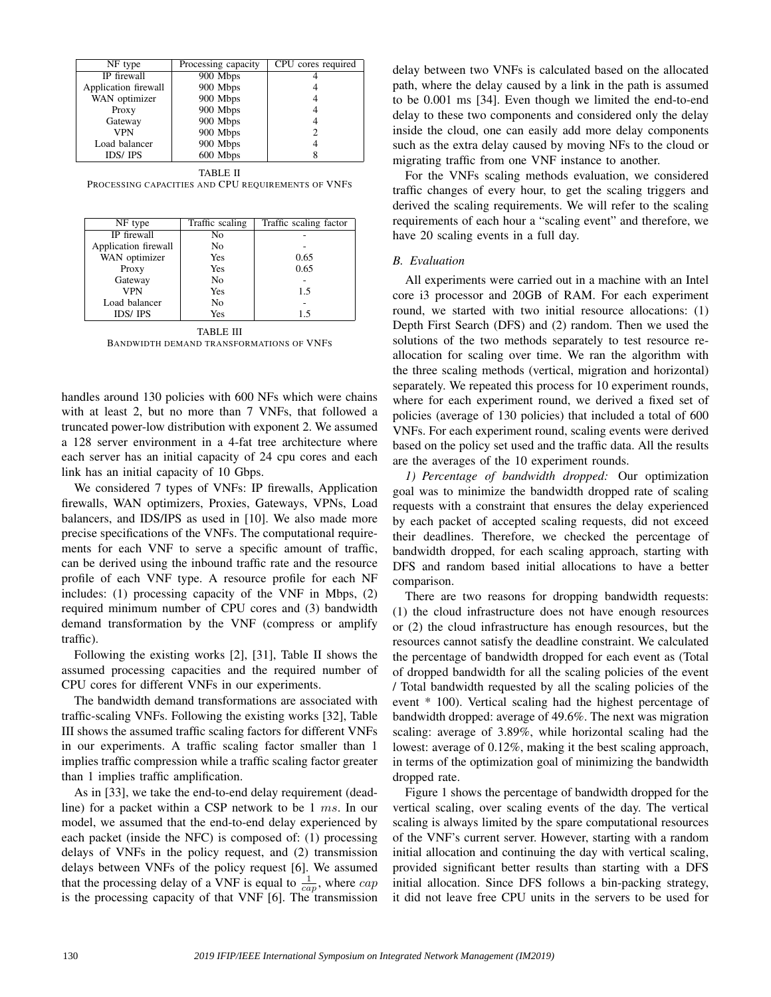| NF type              | Processing capacity | CPU cores required |
|----------------------|---------------------|--------------------|
| IP firewall          | 900 Mbps            |                    |
| Application firewall | 900 Mbps            |                    |
| WAN optimizer        | 900 Mbps            |                    |
| Proxy                | 900 Mbps            |                    |
| Gateway              | 900 Mbps            |                    |
| <b>VPN</b>           | 900 Mbps            |                    |
| Load balancer        | 900 Mbps            |                    |
| <b>IDS/IPS</b>       | 600 Mbps            |                    |

TABLE II PROCESSING CAPACITIES AND CPU REQUIREMENTS OF VNFS

| NF type              | Traffic scaling | Traffic scaling factor |
|----------------------|-----------------|------------------------|
| IP firewall          | No              |                        |
| Application firewall | No              |                        |
| WAN optimizer        | Yes             | 0.65                   |
| Proxy                | Yes             | 0.65                   |
| Gateway              | N <sub>0</sub>  |                        |
| <b>VPN</b>           | Yes             | 1.5                    |
| Load balancer        | N <sub>0</sub>  |                        |
| <b>IDS/IPS</b>       | Yes             | 1.5                    |

TABLE III BANDWIDTH DEMAND TRANSFORMATIONS OF VNFS

handles around 130 policies with 600 NFs which were chains with at least 2, but no more than 7 VNFs, that followed a truncated power-low distribution with exponent 2. We assumed a 128 server environment in a 4-fat tree architecture where each server has an initial capacity of 24 cpu cores and each link has an initial capacity of 10 Gbps.

We considered 7 types of VNFs: IP firewalls, Application firewalls, WAN optimizers, Proxies, Gateways, VPNs, Load balancers, and IDS/IPS as used in [10]. We also made more precise specifications of the VNFs. The computational requirements for each VNF to serve a specific amount of traffic, can be derived using the inbound traffic rate and the resource profile of each VNF type. A resource profile for each NF includes: (1) processing capacity of the VNF in Mbps, (2) required minimum number of CPU cores and (3) bandwidth demand transformation by the VNF (compress or amplify traffic).

Following the existing works [2], [31], Table II shows the assumed processing capacities and the required number of CPU cores for different VNFs in our experiments.

The bandwidth demand transformations are associated with traffic-scaling VNFs. Following the existing works [32], Table III shows the assumed traffic scaling factors for different VNFs in our experiments. A traffic scaling factor smaller than 1 implies traffic compression while a traffic scaling factor greater than 1 implies traffic amplification.

As in [33], we take the end-to-end delay requirement (deadline) for a packet within a CSP network to be 1 ms. In our model, we assumed that the end-to-end delay experienced by each packet (inside the NFC) is composed of: (1) processing delays of VNFs in the policy request, and (2) transmission delays between VNFs of the policy request [6]. We assumed that the processing delay of a VNF is equal to  $\frac{1}{cap}$ , where  $cap$ is the processing capacity of that VNF [6]. The transmission delay between two VNFs is calculated based on the allocated path, where the delay caused by a link in the path is assumed to be 0.001 ms [34]. Even though we limited the end-to-end delay to these two components and considered only the delay inside the cloud, one can easily add more delay components such as the extra delay caused by moving NFs to the cloud or migrating traffic from one VNF instance to another.

For the VNFs scaling methods evaluation, we considered traffic changes of every hour, to get the scaling triggers and derived the scaling requirements. We will refer to the scaling requirements of each hour a "scaling event" and therefore, we have 20 scaling events in a full day.

## *B. Evaluation*

All experiments were carried out in a machine with an Intel core i3 processor and 20GB of RAM. For each experiment round, we started with two initial resource allocations: (1) Depth First Search (DFS) and (2) random. Then we used the solutions of the two methods separately to test resource reallocation for scaling over time. We ran the algorithm with the three scaling methods (vertical, migration and horizontal) separately. We repeated this process for 10 experiment rounds, where for each experiment round, we derived a fixed set of policies (average of 130 policies) that included a total of 600 VNFs. For each experiment round, scaling events were derived based on the policy set used and the traffic data. All the results are the averages of the 10 experiment rounds.

*1) Percentage of bandwidth dropped:* Our optimization goal was to minimize the bandwidth dropped rate of scaling requests with a constraint that ensures the delay experienced by each packet of accepted scaling requests, did not exceed their deadlines. Therefore, we checked the percentage of bandwidth dropped, for each scaling approach, starting with DFS and random based initial allocations to have a better comparison.

There are two reasons for dropping bandwidth requests: (1) the cloud infrastructure does not have enough resources or (2) the cloud infrastructure has enough resources, but the resources cannot satisfy the deadline constraint. We calculated the percentage of bandwidth dropped for each event as (Total of dropped bandwidth for all the scaling policies of the event / Total bandwidth requested by all the scaling policies of the event \* 100). Vertical scaling had the highest percentage of bandwidth dropped: average of 49.6%. The next was migration scaling: average of 3.89%, while horizontal scaling had the lowest: average of 0.12%, making it the best scaling approach, in terms of the optimization goal of minimizing the bandwidth dropped rate.

Figure 1 shows the percentage of bandwidth dropped for the vertical scaling, over scaling events of the day. The vertical scaling is always limited by the spare computational resources of the VNF's current server. However, starting with a random initial allocation and continuing the day with vertical scaling, provided significant better results than starting with a DFS initial allocation. Since DFS follows a bin-packing strategy, it did not leave free CPU units in the servers to be used for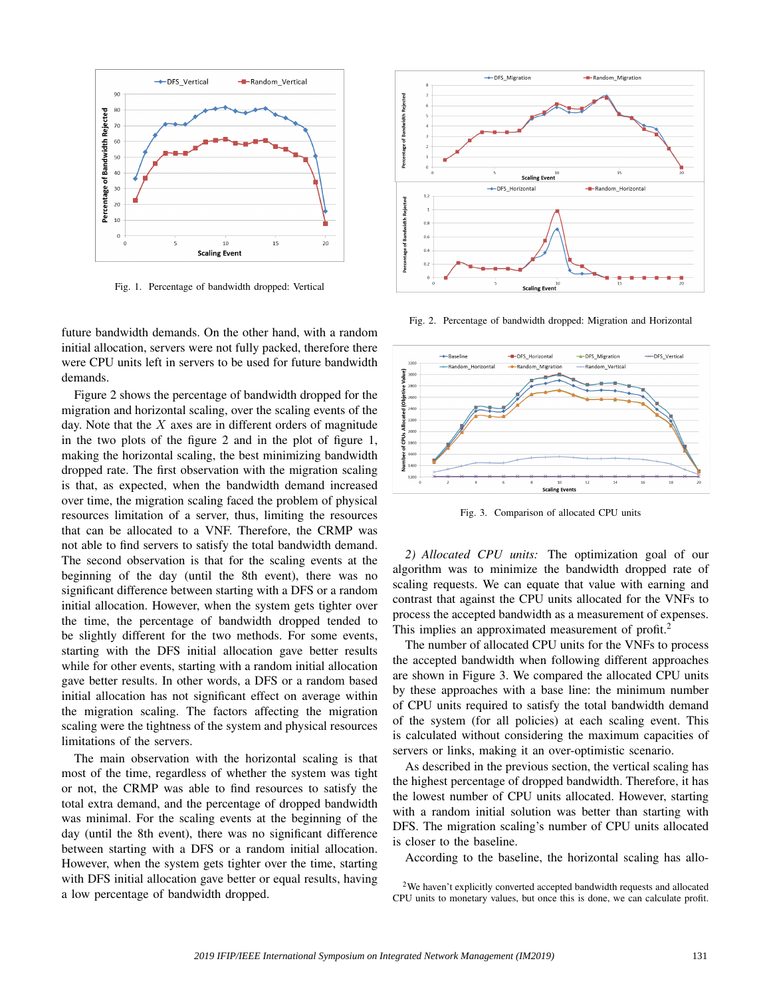

Fig. 1. Percentage of bandwidth dropped: Vertical

future bandwidth demands. On the other hand, with a random initial allocation, servers were not fully packed, therefore there were CPU units left in servers to be used for future bandwidth demands.

Figure 2 shows the percentage of bandwidth dropped for the migration and horizontal scaling, over the scaling events of the day. Note that the  $X$  axes are in different orders of magnitude in the two plots of the figure 2 and in the plot of figure 1, making the horizontal scaling, the best minimizing bandwidth dropped rate. The first observation with the migration scaling is that, as expected, when the bandwidth demand increased over time, the migration scaling faced the problem of physical resources limitation of a server, thus, limiting the resources that can be allocated to a VNF. Therefore, the CRMP was not able to find servers to satisfy the total bandwidth demand. The second observation is that for the scaling events at the beginning of the day (until the 8th event), there was no significant difference between starting with a DFS or a random initial allocation. However, when the system gets tighter over the time, the percentage of bandwidth dropped tended to be slightly different for the two methods. For some events, starting with the DFS initial allocation gave better results while for other events, starting with a random initial allocation gave better results. In other words, a DFS or a random based initial allocation has not significant effect on average within the migration scaling. The factors affecting the migration scaling were the tightness of the system and physical resources limitations of the servers.

The main observation with the horizontal scaling is that most of the time, regardless of whether the system was tight or not, the CRMP was able to find resources to satisfy the total extra demand, and the percentage of dropped bandwidth was minimal. For the scaling events at the beginning of the day (until the 8th event), there was no significant difference between starting with a DFS or a random initial allocation. However, when the system gets tighter over the time, starting with DFS initial allocation gave better or equal results, having a low percentage of bandwidth dropped.



Fig. 2. Percentage of bandwidth dropped: Migration and Horizontal



Fig. 3. Comparison of allocated CPU units

*2) Allocated CPU units:* The optimization goal of our algorithm was to minimize the bandwidth dropped rate of scaling requests. We can equate that value with earning and contrast that against the CPU units allocated for the VNFs to process the accepted bandwidth as a measurement of expenses. This implies an approximated measurement of profit.<sup>2</sup>

The number of allocated CPU units for the VNFs to process the accepted bandwidth when following different approaches are shown in Figure 3. We compared the allocated CPU units by these approaches with a base line: the minimum number of CPU units required to satisfy the total bandwidth demand of the system (for all policies) at each scaling event. This is calculated without considering the maximum capacities of servers or links, making it an over-optimistic scenario.

As described in the previous section, the vertical scaling has the highest percentage of dropped bandwidth. Therefore, it has the lowest number of CPU units allocated. However, starting with a random initial solution was better than starting with DFS. The migration scaling's number of CPU units allocated is closer to the baseline.

According to the baseline, the horizontal scaling has allo-

<sup>&</sup>lt;sup>2</sup>We haven't explicitly converted accepted bandwidth requests and allocated CPU units to monetary values, but once this is done, we can calculate profit.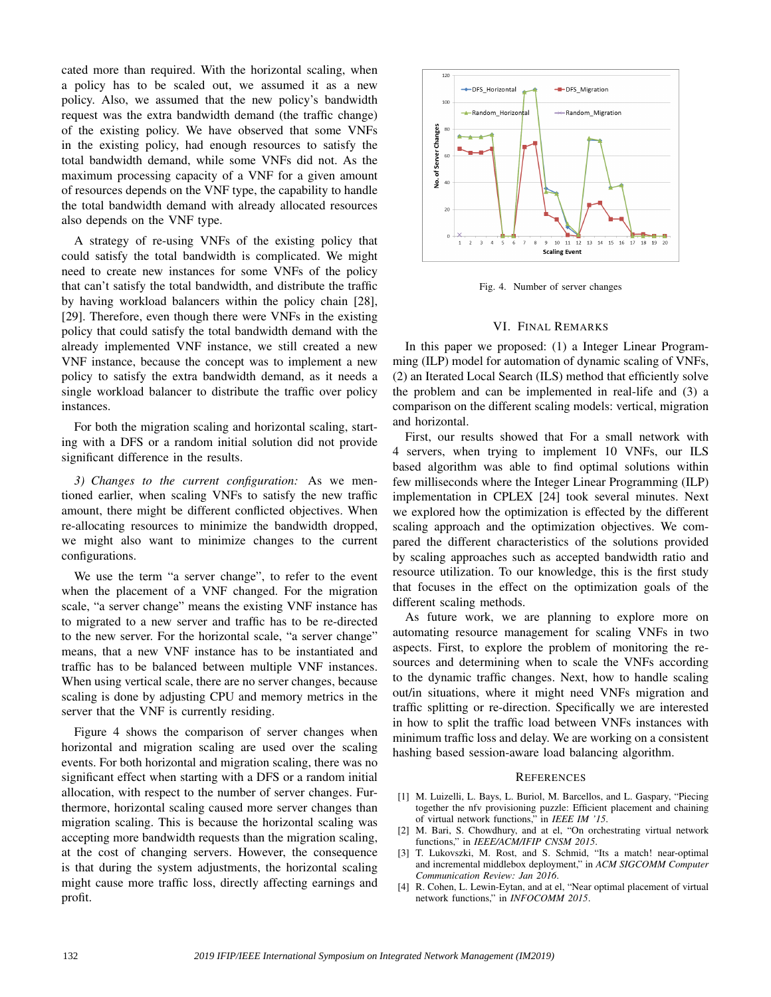cated more than required. With the horizontal scaling, when a policy has to be scaled out, we assumed it as a new policy. Also, we assumed that the new policy's bandwidth request was the extra bandwidth demand (the traffic change) of the existing policy. We have observed that some VNFs in the existing policy, had enough resources to satisfy the total bandwidth demand, while some VNFs did not. As the maximum processing capacity of a VNF for a given amount of resources depends on the VNF type, the capability to handle the total bandwidth demand with already allocated resources also depends on the VNF type.

A strategy of re-using VNFs of the existing policy that could satisfy the total bandwidth is complicated. We might need to create new instances for some VNFs of the policy that can't satisfy the total bandwidth, and distribute the traffic by having workload balancers within the policy chain [28], [29]. Therefore, even though there were VNFs in the existing policy that could satisfy the total bandwidth demand with the already implemented VNF instance, we still created a new VNF instance, because the concept was to implement a new policy to satisfy the extra bandwidth demand, as it needs a single workload balancer to distribute the traffic over policy instances.

For both the migration scaling and horizontal scaling, starting with a DFS or a random initial solution did not provide significant difference in the results.

*3) Changes to the current configuration:* As we mentioned earlier, when scaling VNFs to satisfy the new traffic amount, there might be different conflicted objectives. When re-allocating resources to minimize the bandwidth dropped, we might also want to minimize changes to the current configurations.

We use the term "a server change", to refer to the event when the placement of a VNF changed. For the migration scale, "a server change" means the existing VNF instance has to migrated to a new server and traffic has to be re-directed to the new server. For the horizontal scale, "a server change" means, that a new VNF instance has to be instantiated and traffic has to be balanced between multiple VNF instances. When using vertical scale, there are no server changes, because scaling is done by adjusting CPU and memory metrics in the server that the VNF is currently residing.

Figure 4 shows the comparison of server changes when horizontal and migration scaling are used over the scaling events. For both horizontal and migration scaling, there was no significant effect when starting with a DFS or a random initial allocation, with respect to the number of server changes. Furthermore, horizontal scaling caused more server changes than migration scaling. This is because the horizontal scaling was accepting more bandwidth requests than the migration scaling, at the cost of changing servers. However, the consequence is that during the system adjustments, the horizontal scaling might cause more traffic loss, directly affecting earnings and profit.



Fig. 4. Number of server changes

## VI. FINAL REMARKS

In this paper we proposed: (1) a Integer Linear Programming (ILP) model for automation of dynamic scaling of VNFs, (2) an Iterated Local Search (ILS) method that efficiently solve the problem and can be implemented in real-life and (3) a comparison on the different scaling models: vertical, migration and horizontal.

First, our results showed that For a small network with 4 servers, when trying to implement 10 VNFs, our ILS based algorithm was able to find optimal solutions within few milliseconds where the Integer Linear Programming (ILP) implementation in CPLEX [24] took several minutes. Next we explored how the optimization is effected by the different scaling approach and the optimization objectives. We compared the different characteristics of the solutions provided by scaling approaches such as accepted bandwidth ratio and resource utilization. To our knowledge, this is the first study that focuses in the effect on the optimization goals of the different scaling methods.

As future work, we are planning to explore more on automating resource management for scaling VNFs in two aspects. First, to explore the problem of monitoring the resources and determining when to scale the VNFs according to the dynamic traffic changes. Next, how to handle scaling out/in situations, where it might need VNFs migration and traffic splitting or re-direction. Specifically we are interested in how to split the traffic load between VNFs instances with minimum traffic loss and delay. We are working on a consistent hashing based session-aware load balancing algorithm.

#### **REFERENCES**

- [1] M. Luizelli, L. Bays, L. Buriol, M. Barcellos, and L. Gaspary, "Piecing together the nfv provisioning puzzle: Efficient placement and chaining of virtual network functions," in *IEEE IM '15*.
- M. Bari, S. Chowdhury, and at el, "On orchestrating virtual network functions," in *IEEE/ACM/IFIP CNSM 2015*.
- [3] T. Lukovszki, M. Rost, and S. Schmid, "Its a match! near-optimal and incremental middlebox deployment," in *ACM SIGCOMM Computer Communication Review: Jan 2016*.
- [4] R. Cohen, L. Lewin-Eytan, and at el, "Near optimal placement of virtual network functions," in *INFOCOMM 2015*.